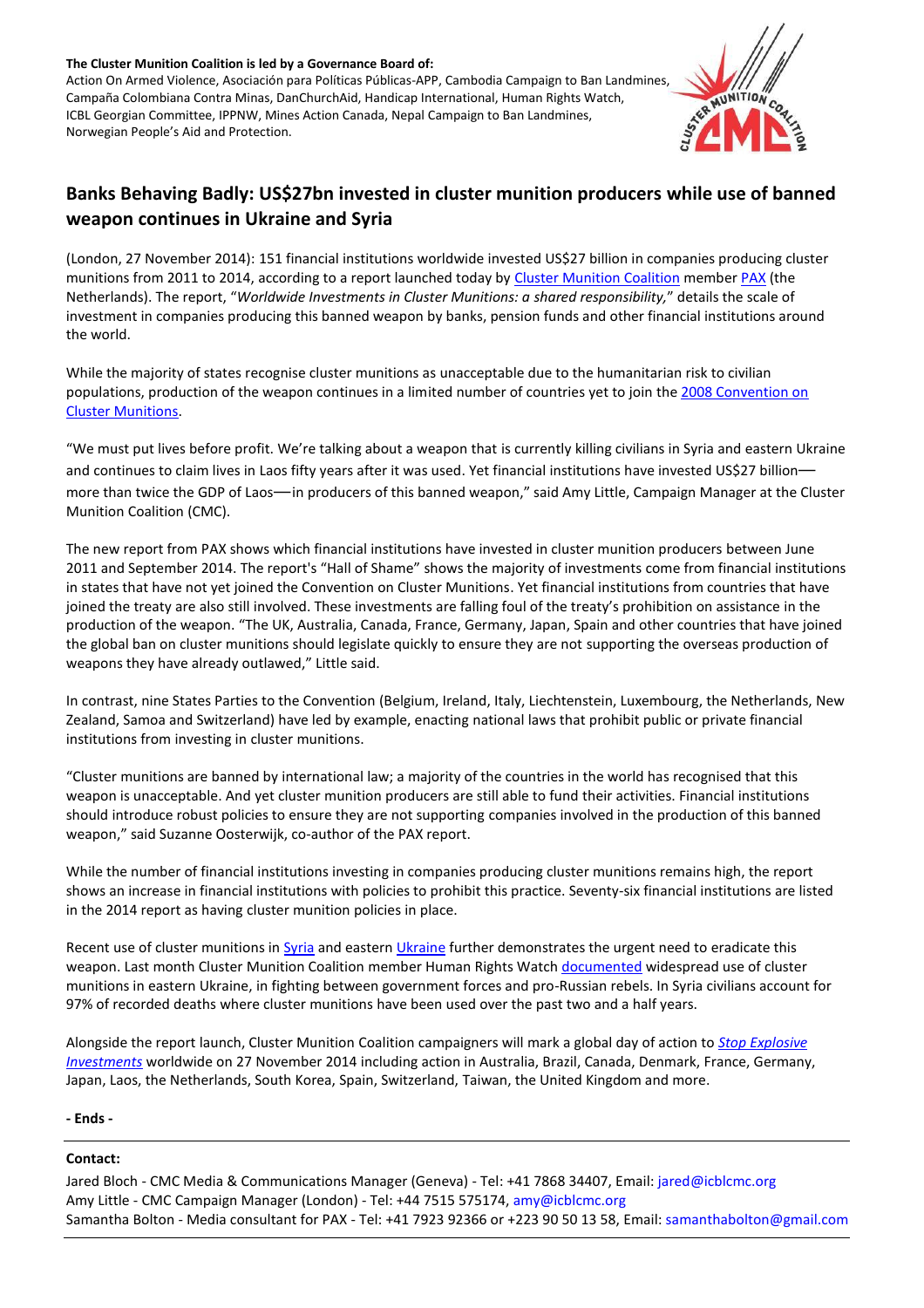#### **The Cluster Munition Coalition is led by a Governance Board of:**

Action On Armed Violence, Asociación para Políticas Públicas-APP, Cambodia Campaign to Ban Landmines, Campaña Colombiana Contra Minas, DanChurchAid, Handicap International, Human Rights Watch, ICBL Georgian Committee, IPPNW, Mines Action Canada, Nepal Campaign to Ban Landmines, Norwegian People's Aid and Protection.



# **Banks Behaving Badly: US\$27bn invested in cluster munition producers while use of banned weapon continues in Ukraine and Syria**

(London, 27 November 2014): 151 financial institutions worldwide invested US\$27 billion in companies producing cluster munitions from 2011 to 2014, according to a report launched today by [Cluster Munition Coalition](http://www.stopclustermunitions.org/) member [PAX](http://www.paxforpeace.nl/our-work/campaigns/stop-explosive-investments) (the Netherlands). The report, "*Worldwide Investments in Cluster Munitions: a shared responsibility,*" details the scale of investment in companies producing this banned weapon by banks, pension funds and other financial institutions around the world.

While the majority of states recognise cluster munitions as unacceptable due to the humanitarian risk to civilian populations, production of the weapon continues in a limited number of countries yet to join th[e 2008 Convention on](http://www.clusterconvention.org/)  [Cluster Munitions.](http://www.clusterconvention.org/)

"We must put lives before profit. We're talking about a weapon that is currently killing civilians in Syria and eastern Ukraine and continues to claim lives in Laos fifty years after it was used. Yet financial institutions have invested US\$27 billionmore than twice the GDP of Laos—in producers of this banned weapon," said Amy Little, Campaign Manager at the Cluster Munition Coalition (CMC).

The new report from PAX shows which financial institutions have invested in cluster munition producers between June 2011 and September 2014. The report's "Hall of Shame" shows the majority of investments come from financial institutions in states that have not yet joined the Convention on Cluster Munitions. Yet financial institutions from countries that have joined the treaty are also still involved. These investments are falling foul of the treaty's prohibition on assistance in the production of the weapon. "The UK, Australia, Canada, France, Germany, Japan, Spain and other countries that have joined the global ban on cluster munitions should legislate quickly to ensure they are not supporting the overseas production of weapons they have already outlawed," Little said.

In contrast, nine States Parties to the Convention (Belgium, Ireland, Italy, Liechtenstein, Luxembourg, the Netherlands, New Zealand, Samoa and Switzerland) have led by example, enacting national laws that prohibit public or private financial institutions from investing in cluster munitions.

"Cluster munitions are banned by international law; a majority of the countries in the world has recognised that this weapon is unacceptable. And yet cluster munition producers are still able to fund their activities. Financial institutions should introduce robust policies to ensure they are not supporting companies involved in the production of this banned weapon," said Suzanne Oosterwijk, co-author of the PAX report.

While the number of financial institutions investing in companies producing cluster munitions remains high, the report shows an increase in financial institutions with policies to prohibit this practice. Seventy-six financial institutions are listed in the 2014 report as having cluster munition policies in place.

Recent use of cluster munitions i[n Syria](http://www.stopclustermunitions.org/en-gb/cluster-bombs/use-of-cluster-bombs/cluster-munition-use-in-syria.aspx) and eastern [Ukraine](http://www.stopclustermunitions.org/en-gb/cluster-bombs/use-of-cluster-bombs/cluster-munition-use-in-ukraine.aspx) further demonstrates the urgent need to eradicate this weapon. Last month Cluster Munition Coalition member Human Rights Watc[h documented](http://www.hrw.org/news/2014/10/20/ukraine-widespread-use-cluster-munitions) widespread use of cluster munitions in eastern Ukraine, in fighting between government forces and pro-Russian rebels. In Syria civilians account for 97% of recorded deaths where cluster munitions have been used over the past two and a half years.

Alongside the report launch, Cluster Munition Coalition campaigners will mark a global day of action to *[Stop Explosive](http://www.stopexplosiveinvestments.org/)  [Investments](http://www.stopexplosiveinvestments.org/)* worldwide on 27 November 2014 including action in Australia, Brazil, Canada, Denmark, France, Germany, Japan, Laos, the Netherlands, South Korea, Spain, Switzerland, Taiwan, the United Kingdom and more.

## **- Ends -**

# **Contact:**

Jared Bloch - CMC Media & Communications Manager (Geneva) - Tel: +41 7868 34407, Email[: jared@icblcmc.org](mailto:jared@icblcmc.org) Amy Little - CMC Campaign Manager (London) - Tel: +44 7515 575174[, amy@icblcmc.org](mailto:amy@icblcmc.org)  Samantha Bolton - Media consultant for PAX - Tel: +41 7923 92366 or +223 90 50 13 58, Email[: samanthabolton@gmail.com](file:///C:/Users/amy.connect-HP4/AppData/Local/Microsoft/Windows/Temporary%20Internet%20Files/Content.Outlook/Q2AISQDI/samanthabolton@gmail.com)